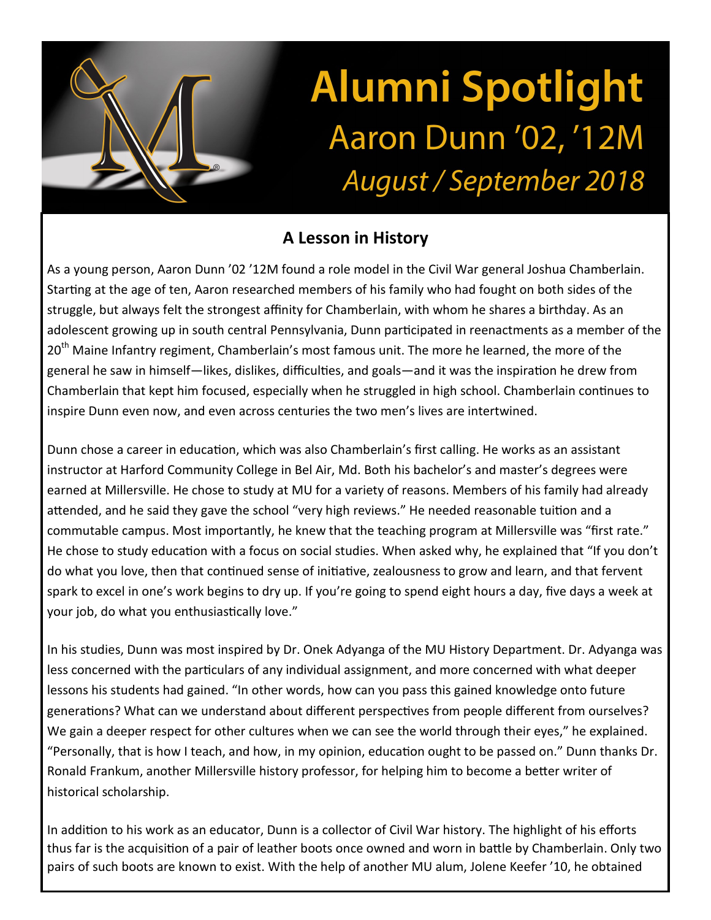## **Alumni Spotlight** Aaron Dunn '02, '12M August / September 2018

## **A Lesson in History**

As a young person, Aaron Dunn '02 '12M found a role model in the Civil War general Joshua Chamberlain. Starting at the age of ten, Aaron researched members of his family who had fought on both sides of the struggle, but always felt the strongest affinity for Chamberlain, with whom he shares a birthday. As an adolescent growing up in south central Pennsylvania, Dunn participated in reenactments as a member of the 20<sup>th</sup> Maine Infantry regiment, Chamberlain's most famous unit. The more he learned, the more of the general he saw in himself—likes, dislikes, difficulties, and goals—and it was the inspiration he drew from Chamberlain that kept him focused, especially when he struggled in high school. Chamberlain continues to inspire Dunn even now, and even across centuries the two men's lives are intertwined.

Dunn chose a career in education, which was also Chamberlain's first calling. He works as an assistant instructor at Harford Community College in Bel Air, Md. Both his bachelor's and master's degrees were earned at Millersville. He chose to study at MU for a variety of reasons. Members of his family had already attended, and he said they gave the school "very high reviews." He needed reasonable tuition and a commutable campus. Most importantly, he knew that the teaching program at Millersville was "first rate." He chose to study education with a focus on social studies. When asked why, he explained that "If you don't do what you love, then that continued sense of initiative, zealousness to grow and learn, and that fervent spark to excel in one's work begins to dry up. If you're going to spend eight hours a day, five days a week at your job, do what you enthusiastically love."

In his studies, Dunn was most inspired by Dr. Onek Adyanga of the MU History Department. Dr. Adyanga was less concerned with the particulars of any individual assignment, and more concerned with what deeper lessons his students had gained. "In other words, how can you pass this gained knowledge onto future generations? What can we understand about different perspectives from people different from ourselves? We gain a deeper respect for other cultures when we can see the world through their eyes," he explained. "Personally, that is how I teach, and how, in my opinion, education ought to be passed on." Dunn thanks Dr. Ronald Frankum, another Millersville history professor, for helping him to become a better writer of historical scholarship.

In addition to his work as an educator, Dunn is a collector of Civil War history. The highlight of his efforts thus far is the acquisition of a pair of leather boots once owned and worn in battle by Chamberlain. Only two pairs of such boots are known to exist. With the help of another MU alum, Jolene Keefer '10, he obtained